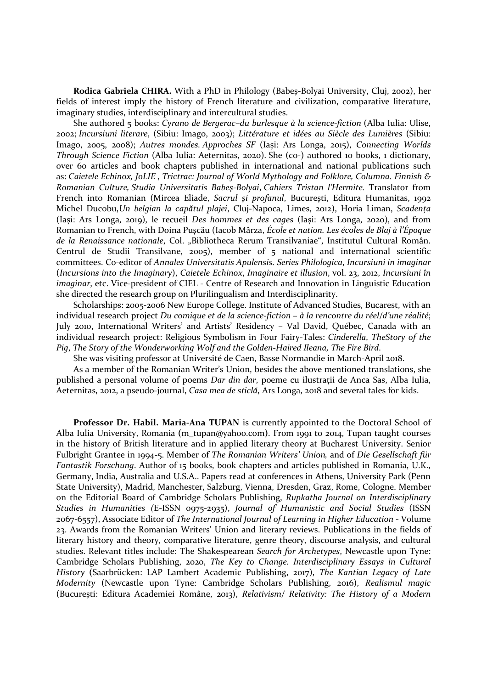Rodica Gabriela CHIRA. With a PhD in Philology (Babeș-Bolyai University, Cluj, 2002), her fields of interest imply the history of French literature and civilization, comparative literature, imaginary studies, interdisciplinary and intercultural studies.

She authored 5 books: Cyrano de Bergerac–du burlesque à la science-fiction (Alba Iulia: Ulise, 2002; Incursiuni literare, (Sibiu: Imago, 2003); Littérature et idées au Siècle des Lumières (Sibiu: Imago, 2005, 2008); Autres mondes. Approches SF (Iași: Ars Longa, 2015), Connecting Worlds Through Science Fiction (Alba Iulia: Aeternitas, 2020). She (co-) authored 10 books, 1 dictionary, over 60 articles and book chapters published in international and national publications such as: Caietele Echinox, JoLIE , Trictrac: Journal of World Mythology and Folklore, Columna. Finnish & Romanian Culture, Studia Universitatis Babeş-Bolyai, Cahiers Tristan l'Hermite. Translator from French into Romanian (Mircea Eliade, Sacrul şi profanul, Bucureşti, Editura Humanitas, 1992 Michel Ducobu,Un belgian la capătul plajei, Cluj-Napoca, Limes, 2012), Horia Liman, Scadența (Iași: Ars Longa, 2019), le recueil Des hommes et des cages (Iași: Ars Longa, 2020), and from Romanian to French, with Doina Puşcău (Iacob Mârza, École et nation. Les écoles de Blaj à l'Époque de la Renaissance nationale, Col. "Bibliotheca Rerum Transilvaniae", Institutul Cultural Român. Centrul de Studii Transilvane, 2005), member of 5 national and international scientific committees. Co-editor of Annales Universitatis Apulensis. Series Philologica, Incursiuni in imaginar (Incursions into the Imaginary), Caietele Echinox, Imaginaire et illusion, vol. 23, 2012, Incursiuni în imaginar, etc. Vice-president of CIEL - Centre of Research and Innovation in Linguistic Education she directed the research group on Plurilingualism and Interdisciplinarity.

Scholarships: 2005-2006 New Europe College. Institute of Advanced Studies, Bucarest, with an individual research project Du comique et de la science-fiction – à la rencontre du réel/d'une réalité; July 2010, International Writers' and Artists' Residency – Val David, Québec, Canada with an individual research project: Religious Symbolism in Four Fairy-Tales: Cinderella, TheStory of the Pig, The Story of the Wonderworking Wolf and the Golden-Haired Ileana, The Fire Bird.

She was visiting professor at Université de Caen, Basse Normandie in March-April 2018.

As a member of the Romanian Writer's Union, besides the above mentioned translations, she published a personal volume of poems Dar din dar, poeme cu ilustrații de Anca Sas, Alba Iulia, Aeternitas, 2012, a pseudo-journal, Casa mea de sticlă, Ars Longa, 2018 and several tales for kids.

Professor Dr. Habil. Maria-Ana TUPAN is currently appointed to the Doctoral School of Alba Iulia University, Romania (m\_tupan@yahoo.com). From 1991 to 2014, Tupan taught courses in the history of British literature and in applied literary theory at Bucharest University. Senior Fulbright Grantee in 1994-5. Member of The Romanian Writers' Union, and of Die Gesellschaft für Fantastik Forschung. Author of 15 books, book chapters and articles published in Romania, U.K., Germany, India, Australia and U.S.A.. Papers read at conferences in Athens, University Park (Penn State University), Madrid, Manchester, Salzburg, Vienna, Dresden, Graz, Rome, Cologne. Member on the Editorial Board of Cambridge Scholars Publishing, Rupkatha Journal on Interdisciplinary Studies in Humanities (E-ISSN 0975-2935), Journal of Humanistic and Social Studies (ISSN 2067-6557), Associate Editor of The International Journal of Learning in Higher Education - Volume 23. Awards from the Romanian Writers' Union and literary reviews. Publications in the fields of literary history and theory, comparative literature, genre theory, discourse analysis, and cultural studies. Relevant titles include: The Shakespearean Search for Archetypes, Newcastle upon Tyne: Cambridge Scholars Publishing, 2020, The Key to Change. Interdisciplinary Essays in Cultural History (Saarbrücken: LAP Lambert Academic Publishing, 2017), The Kantian Legacy of Late Modernity (Newcastle upon Tyne: Cambridge Scholars Publishing, 2016), Realismul magic (București: Editura Academiei Române, 2013), Relativism/ Relativity: The History of a Modern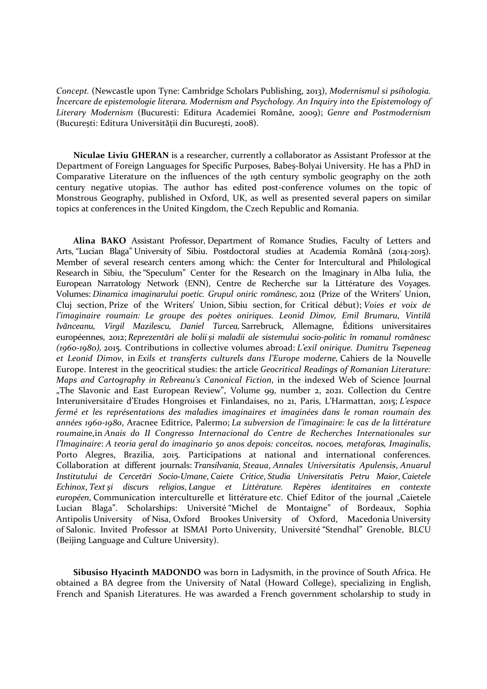Concept. (Newcastle upon Tyne: Cambridge Scholars Publishing, 2013), Modernismul si psihologia. Încercare de epistemologie literara. Modernism and Psychology. An Inquiry into the Epistemology of Literary Modernism (Bucuresti: Editura Academiei Române, 2009); Genre and Postmodernism (București: Editura Universității din București, 2008).

Niculae Liviu GHERAN is a researcher, currently a collaborator as Assistant Professor at the Department of Foreign Languages for Specific Purposes, Babeș-Bolyai University. He has a PhD in Comparative Literature on the influences of the 19th century symbolic geography on the 20th century negative utopias. The author has edited post-conference volumes on the topic of Monstrous Geography, published in Oxford, UK, as well as presented several papers on similar topics at conferences in the United Kingdom, the Czech Republic and Romania.

Alina BAKO Assistant Professor, Department of Romance Studies, Faculty of Letters and Arts, "Lucian Blaga" University of Sibiu. Postdoctoral studies at Academia Română (2014-2015). Member of several research centers among which: the Center for Intercultural and Philological Research in Sibiu, the "Speculum" Center for the Research on the Imaginary in Alba Iulia, the European Narratology Network (ENN), Centre de Recherche sur la Littérature des Voyages. Volumes: Dinamica imaginarului poetic. Grupul oniric românesc, 2012 (Prize of the Writers' Union, Cluj section, Prize of the Writers' Union, Sibiu section, for Critical début); Voies et voix de l'imaginaire roumain: Le groupe des poètes oniriques. Leonid Dimov, Emil Brumaru, Vintilă Ivănceanu, Virgil Mazilescu, Daniel Turcea, Sarrebruck, Allemagne, Éditions universitaires européennes, 2012; Reprezentări ale bolii și maladii ale sistemului socio-politic în romanul românesc (1960-1980), 2015. Contributions in collective volumes abroad: L'exil onirique. Dumitru Tsepeneag et Leonid Dimov, in Exils et transferts culturels dans l'Europe moderne, Cahiers de la Nouvelle Europe. Interest in the geocritical studies: the article Geocritical Readings of Romanian Literature: Maps and Cartography in Rebreanu's Canonical Fiction, in the indexed Web of Science Journal "The Slavonic and East European Review", Volume 99, number 2, 2021. Collection du Centre Interuniversitaire d'Etudes Hongroises et Finlandaises, no 21, Paris, L'Harmattan, 2015; L'espace fermé et les représentations des maladies imaginaires et imaginées dans le roman roumain des années 1960-1980, Aracnee Editrice, Palermo; La subversion de l'imaginaire: le cas de la littérature roumaine,in Anais do II Congresso Internacional do Centre de Recherches Internationales sur l'Imaginaire: A teoria geral do imaginario 50 anos depois: conceitos, nocoes, metaforas, Imaginalis, Porto Alegres, Brazilia, 2015. Participations at national and international conferences. Collaboration at different journals: Transilvania, Steaua, Annales Universitatis Apulensis, Anuarul Institutului de Cercetări Socio-Umane, Caiete Critice, Studia Universitatis Petru Maior, Caietele Echinox, Text și discurs religios, Langue et Littérature. Repères identitaires en contexte européen, Communication interculturelle et littérature etc. Chief Editor of the journal "Caietele Lucian Blaga". Scholarships: Université "Michel de Montaigne" of Bordeaux, Sophia Antipolis University of Nisa, Oxford Brookes University of Oxford, Macedonia University of Salonic. Invited Professor at ISMAI Porto University, Université "Stendhal" Grenoble, BLCU (Beijing Language and Culture University).

Sibusiso Hyacinth MADONDO was born in Ladysmith, in the province of South Africa. He obtained a BA degree from the University of Natal (Howard College), specializing in English, French and Spanish Literatures. He was awarded a French government scholarship to study in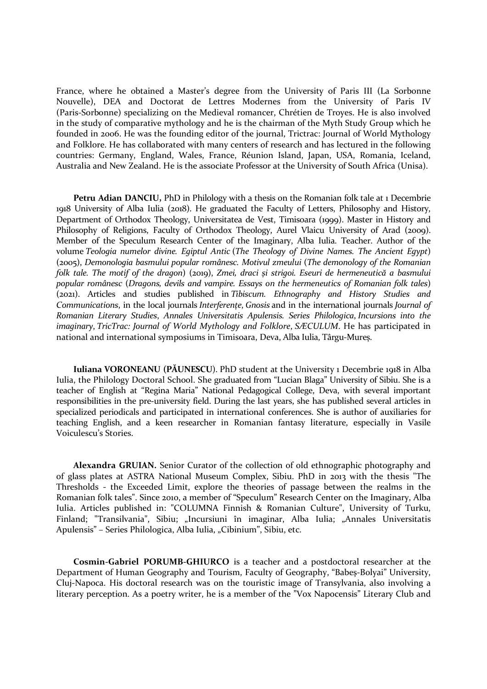France, where he obtained a Master's degree from the University of Paris III (La Sorbonne Nouvelle), DEA and Doctorat de Lettres Modernes from the University of Paris IV (Paris-Sorbonne) specializing on the Medieval romancer, Chrétien de Troyes. He is also involved in the study of comparative mythology and he is the chairman of the Myth Study Group which he founded in 2006. He was the founding editor of the journal, Trictrac: Journal of World Mythology and Folklore. He has collaborated with many centers of research and has lectured in the following countries: Germany, England, Wales, France, Réunion Island, Japan, USA, Romania, Iceland, Australia and New Zealand. He is the associate Professor at the University of South Africa (Unisa).

Petru Adian DANCIU, PhD in Philology with a thesis on the Romanian folk tale at 1 Decembrie 1918 University of Alba Iulia (2018). He graduated the Faculty of Letters, Philosophy and History, Department of Orthodox Theology, Universitatea de Vest, Timisoara (1999). Master in History and Philosophy of Religions, Faculty of Orthodox Theology, Aurel Vlaicu University of Arad (2009). Member of the Speculum Research Center of the Imaginary, Alba Iulia. Teacher. Author of the volume Teologia numelor divine. Egiptul Antic (The Theology of Divine Names. The Ancient Egypt) (2005), Demonologia basmului popular românesc. Motivul zmeului (The demonology of the Romanian folk tale. The motif of the dragon) (2019), Zmei, draci și strigoi. Eseuri de hermeneutică a basmului popular românesc (Dragons, devils and vampire. Essays on the hermeneutics of Romanian folk tales) (2021). Articles and studies published in Tibiscum. Ethnography and History Studies and Communications, in the local journals Interferențe, Gnosis and in the international journals Journal of Romanian Literary Studies, Annales Universitatis Apulensis. Series Philologica, Incursions into the imaginary, TricTrac: Journal of World Mythology and Folklore, SÆCULUM. He has participated in national and international symposiums in Timisoara, Deva, Alba Iulia, Târgu-Mureș.

Iuliana VORONEANU (PĂUNESCU). PhD student at the University 1 Decembrie 1918 in Alba Iulia, the Philology Doctoral School. She graduated from "Lucian Blaga" University of Sibiu. She is a teacher of English at "Regina Maria" National Pedagogical College, Deva, with several important responsibilities in the pre-university field. During the last years, she has published several articles in specialized periodicals and participated in international conferences. She is author of auxiliaries for teaching English, and a keen researcher in Romanian fantasy literature, especially in Vasile Voiculescu's Stories.

Alexandra GRUIAN. Senior Curator of the collection of old ethnographic photography and of glass plates at ASTRA National Museum Complex, Sibiu. PhD in 2013 with the thesis "The Thresholds - the Exceeded Limit, explore the theories of passage between the realms in the Romanian folk tales". Since 2010, a member of "Speculum" Research Center on the Imaginary, Alba Iulia. Articles published in: "COLUMNA Finnish & Romanian Culture", University of Turku, Finland; "Transilvania", Sibiu; "Incursiuni în imaginar, Alba Iulia; "Annales Universitatis Apulensis" – Series Philologica, Alba Iulia, "Cibinium", Sibiu, etc.

Cosmin-Gabriel PORUMB-GHIURCO is a teacher and a postdoctoral researcher at the Department of Human Geography and Tourism, Faculty of Geography, "Babeș-Bolyai" University, Cluj-Napoca. His doctoral research was on the touristic image of Transylvania, also involving a literary perception. As a poetry writer, he is a member of the "Vox Napocensis" Literary Club and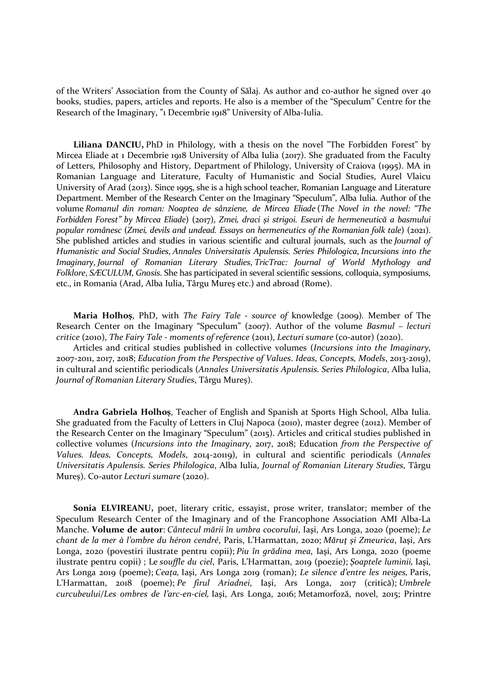of the Writers' Association from the County of Sălaj. As author and co-author he signed over 40 books, studies, papers, articles and reports. He also is a member of the "Speculum" Centre for the Research of the Imaginary, "1 Decembrie 1918" University of Alba-Iulia.

Liliana DANCIU, PhD in Philology, with a thesis on the novel "The Forbidden Forest" by Mircea Eliade at 1 Decembrie 1918 University of Alba Iulia (2017). She graduated from the Faculty of Letters, Philosophy and History, Department of Philology, University of Craiova (1995). MA in Romanian Language and Literature, Faculty of Humanistic and Social Studies, Aurel Vlaicu University of Arad (2013). Since 1995, she is a high school teacher, Romanian Language and Literature Department. Member of the Research Center on the Imaginary "Speculum", Alba Iulia. Author of the volume Romanul din roman: Noaptea de sânziene, de Mircea Eliade (The Novel in the novel: "The Forbidden Forest" by Mircea Eliade) (2017), Zmei, draci și strigoi. Eseuri de hermeneutică a basmului popular românesc (Zmei, devils and undead. Essays on hermeneutics of the Romanian folk tale) (2021). She published articles and studies in various scientific and cultural journals, such as the Journal of Humanistic and Social Studies, Annales Universitatis Apulensis. Series Philologica, Incursions into the Imaginary, Journal of Romanian Literary Studies, TricTrac: Journal of World Mythology and Folklore, SÆCULUM, Gnosis. She has participated in several scientific sessions, colloquia, symposiums, etc., in Romania (Arad, Alba Iulia, Târgu Mureș etc.) and abroad (Rome).

Maria Holhoș, PhD, with The Fairy Tale - source of knowledge (2009). Member of The Research Center on the Imaginary "Speculum" (2007). Author of the volume Basmul – lecturi critice (2010), The Fairy Tale - moments of reference (2011), Lecturi sumare (co-autor) (2020).

Articles and critical studies published in collective volumes (Incursions into the Imaginary, 2007-2011, 2017, 2018; Education from the Perspective of Values. Ideas, Concepts, Models, 2013-2019), in cultural and scientific periodicals (Annales Universitatis Apulensis. Series Philologica, Alba Iulia, Journal of Romanian Literary Studies, Târgu Mureș).

Andra Gabriela Holhoș, Teacher of English and Spanish at Sports High School, Alba Iulia. She graduated from the Faculty of Letters in Cluj Napoca (2010), master degree (2012). Member of the Research Center on the Imaginary "Speculum" (2015). Articles and critical studies published in collective volumes (Incursions into the Imaginary, 2017, 2018; Education from the Perspective of Values. Ideas, Concepts, Models, 2014-20119), in cultural and scientific periodicals (Annales Universitatis Apulensis. Series Philologica, Alba Iulia, Journal of Romanian Literary Studies, Târgu Mures). Co-autor Lecturi sumare (2020).

Sonia ELVIREANU, poet, literary critic, essayist, prose writer, translator; member of the Speculum Research Center of the Imaginary and of the Francophone Association AMI Alba-La Manche. Volume de autor: Cântecul mării în umbra cocorului, Iaşi, Ars Longa, 2020 (poeme); Le chant de la mer à l'ombre du héron cendré, Paris, L'Harmattan, 2020; Măruţ şi Zmeurica, Iaşi, Ars Longa, 2020 (povestiri ilustrate pentru copii); Piu în grădina mea, Iaşi, Ars Longa, 2020 (poeme ilustrate pentru copii) ; Le souffle du ciel, Paris, L'Harmattan, 2019 (poezie); Şoaptele luminii, Iaşi, Ars Longa 2019 (poeme); Ceaţa, Iaşi, Ars Longa 2019 (roman); Le silence d'entre les neiges, Paris, L'Harmattan, 2018 (poeme); Pe firul Ariadnei, Iaşi, Ars Longa, 2017 (critică); Umbrele curcubeului/Les ombres de l'arc-en-ciel, Iaşi, Ars Longa, 2016; Metamorfoză, novel, 2015; Printre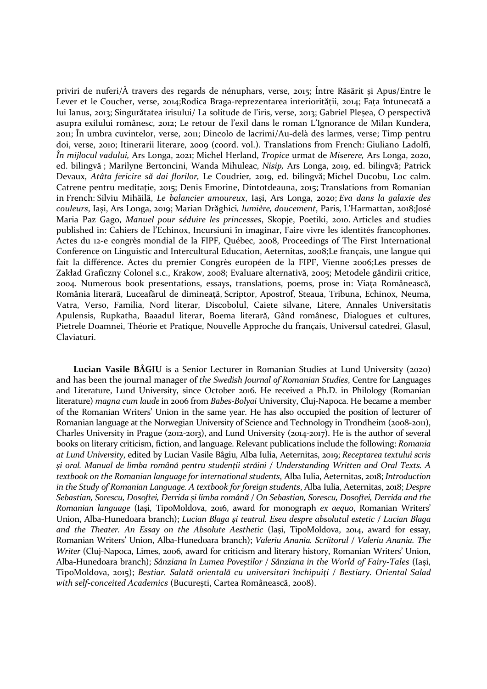priviri de nuferi/À travers des regards de nénuphars, verse, 2015; Între Răsărit și Apus/Entre le Lever et le Coucher, verse, 2014;Rodica Braga-reprezentarea interiorității, 2014; Fața întunecată a lui Ianus, 2013; Singurătatea irisului/ La solitude de l'iris, verse, 2013; Gabriel Pleșea, O perspectivă asupra exilului românesc, 2012; Le retour de l'exil dans le roman L'Ignorance de Milan Kundera, 2011; În umbra cuvintelor, verse, 2011; Dincolo de lacrimi/Au-delà des larmes, verse; Timp pentru doi, verse, 2010; Itinerarii literare, 2009 (coord. vol.). Translations from French: Giuliano Ladolfi, În mijlocul vadului, Ars Longa, 2021; Michel Herland, Tropice urmat de Miserere, Ars Longa, 2020, ed. bilingvă ; Marilyne Bertoncini, Wanda Mihuleac, Nisip, Ars Longa, 2019, ed. bilingvă; Patrick Devaux, Atâta fericire să dai florilor, Le Coudrier, 2019, ed. bilingvă; Michel Ducobu, Loc calm. Catrene pentru meditație, 2015; Denis Emorine, Dintotdeauna, 2015; Translations from Romanian in French: Silviu Mihăilă, Le balancier amoureux, Iași, Ars Longa, 2020; Eva dans la galaxie des couleurs, Iași, Ars Longa, 2019; Marian Drăghici, lumière, doucement, Paris, L'Harmattan, 2018;José Maria Paz Gago, Manuel pour séduire les princesses, Skopje, Poetiki, 2010. Articles and studies published in: Cahiers de l'Echinox, Incursiuni în imaginar, Faire vivre les identités francophones. Actes du 12-e congrès mondial de la FIPF, Québec, 2008, Proceedings of The First International Conference on Linguistic and Intercultural Education, Aeternitas, 2008;Le français, une langue qui fait la différence. Actes du premier Congrès européen de la FIPF, Vienne 2006;Les presses de Zakład Graficzny Colonel s.c., Krakow, 2008; Evaluare alternativă, 2005; Metodele gândirii critice, 2004. Numerous book presentations, essays, translations, poems, prose in: Viața Românească, România literară, Luceafărul de dimineață, Scriptor, Apostrof, Steaua, Tribuna, Echinox, Neuma, Vatra, Verso, Familia, Nord literar, Discobolul, Caiete silvane, Litere, Annales Universitatis Apulensis, Rupkatha, Baaadul literar, Boema literară, Gând românesc, Dialogues et cultures, Pietrele Doamnei, Théorie et Pratique, Nouvelle Approche du français, Universul catedrei, Glasul, Claviaturi.

Lucian Vasile BÂGIU is a Senior Lecturer in Romanian Studies at Lund University (2020) and has been the journal manager of the Swedish Journal of Romanian Studies, Centre for Languages and Literature, Lund University, since October 2016. He received a Ph.D. in Philology (Romanian literature) magna cum laude in 2006 from Babes-Bolyai University, Cluj-Napoca. He became a member of the Romanian Writers' Union in the same year. He has also occupied the position of lecturer of Romanian language at the Norwegian University of Science and Technology in Trondheim (2008-2011), Charles University in Prague (2012-2013), and Lund University (2014-2017). He is the author of several books on literary criticism, fiction, and language. Relevant publications include the following: Romania at Lund University, edited by Lucian Vasile Bâgiu, Alba Iulia, Aeternitas, 2019; Receptarea textului scris și oral. Manual de limba română pentru studenții străini / Understanding Written and Oral Texts. A textbook on the Romanian language for international students, Alba Iulia, Aeternitas, 2018; Introduction in the Study of Romanian Language. A textbook for foreign students, Alba Iulia, Aeternitas, 2018; Despre Sebastian, Sorescu, Dosoftei, Derrida și limba română / On Sebastian, Sorescu, Dosoftei, Derrida and the Romanian language (Iași, TipoMoldova, 2016, award for monograph ex aequo, Romanian Writers' Union, Alba-Hunedoara branch); Lucian Blaga și teatrul. Eseu despre absolutul estetic / Lucian Blaga and the Theater. An Essay on the Absolute Aesthetic (Iași, TipoMoldova, 2014, award for essay, Romanian Writers' Union, Alba-Hunedoara branch); Valeriu Anania. Scriitorul / Valeriu Anania. The Writer (Cluj-Napoca, Limes, 2006, award for criticism and literary history, Romanian Writers' Union, Alba-Hunedoara branch); Sânziana în Lumea Poveștilor / Sânziana in the World of Fairy-Tales (Iași, TipoMoldova, 2015); Bestiar. Salată orientală cu universitari închipuiţi / Bestiary. Oriental Salad with self-conceited Academics (București, Cartea Românească, 2008).